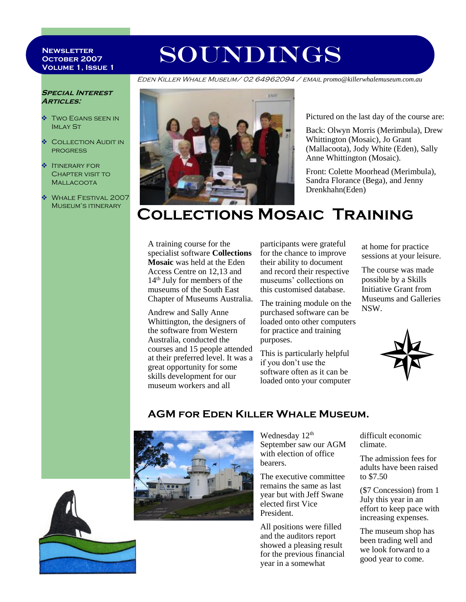#### **Newsletter October 2007 Volume 1, Issue 1**

# SOUNDINGS

Eden Killer Whale Museum/ 02 64962094 / email *promo@killerwhalemuseum.com.au*

#### **Special Interest Articles:**

- **TWO EGANS SEEN IN IMLAY ST**
- **COLLECTION AUDIT IN** progress
- **V ITINERARY FOR** Chapter visit to Mallacoota
- WHALE FESTIVAL 2007 MUSEUM'S ITINERARY



Pictured on the last day of the course are:

Back: Olwyn Morris (Merimbula), Drew Whittington (Mosaic), Jo Grant (Mallacoota), Jody White (Eden), Sally Anne Whittington (Mosaic).

Front: Colette Moorhead (Merimbula), Sandra Florance (Bega), and Jenny Drenkhahn(Eden)

## **Collections Mosaic Training**

A training course for the specialist software **Collections Mosaic** was held at the Eden Access Centre on 12,13 and 14th July for members of the museums of the South East Chapter of Museums Australia.

Andrew and Sally Anne Whittington, the designers of the software from Western Australia, conducted the courses and 15 people attended at their preferred level. It was a great opportunity for some skills development for our museum workers and all

participants were grateful for the chance to improve their ability to document and record their respective museums' collections on this customised database.

The training module on the purchased software can be loaded onto other computers for practice and training purposes.

This is particularly helpful if you don't use the software often as it can be loaded onto your computer at home for practice sessions at your leisure.

The course was made possible by a Skills Initiative Grant from Museums and Galleries NSW.



### **AGM for Eden Killer Whale Museum.**



Wednesday 12<sup>th</sup> September saw our AGM with election of office bearers.

The executive committee remains the same as last year but with Jeff Swane elected first Vice President.

All positions were filled and the auditors report showed a pleasing result for the previous financial year in a somewhat

difficult economic climate.

The admission fees for adults have been raised to \$7.50

(\$7 Concession) from 1 July this year in an effort to keep pace with increasing expenses.

The museum shop has been trading well and we look forward to a good year to come.

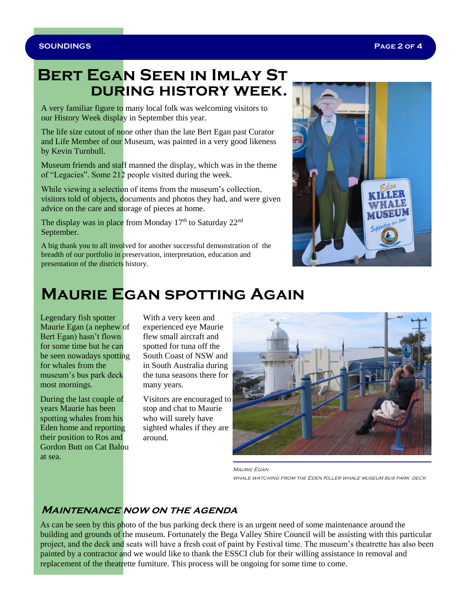### **Bert Egan Seen in Imlay St during history week.**

A very familiar figure to many local folk was welcoming visitors to our History Week display in September this year.

The life size cutout of none other than the late Bert Egan past Curator and Life Member of our Museum, was painted in a very good likeness by Kevin Turnbull.

Museum friends and staff manned the display, which was in the theme of "Legacies". Some 212 people visited during the week.

While viewing a selection of items from the museum's collection, visitors told of objects, documents and photos they had, and were given advice on the care and storage of pieces at home.

The display was in place from Monday  $17<sup>th</sup>$  to Saturday  $22<sup>nd</sup>$ September.

A big thank you to all involved for another successful demonstration of the breadth of our portfolio in preservation, interpretation, education and presentation of the districts history.



## **Maurie Egan spotting Again**

Legendary fish spotter Maurie Egan (a nephew of Bert Egan) hasn't flown for some time but he can be seen nowadays spotting for whales from the museum's bus park deck most mornings.

During the last couple of years Maurie has been spotting whales from his Eden home and reporting their position to Ros and Gordon Butt on Cat Balou at sea.

With a very keen and experienced eye Maurie flew small aircraft and spotted for tuna off the South Coast of NSW and in South Australia during the tuna seasons there for many years.

Visitors are encouraged to stop and chat to Maurie who will surely have sighted whales if they are around.



MAURIE EGAN whale watching from the Eden Killer whale museum bus park deck

### **Maintenance now on the agenda**

As can be seen by this photo of the bus parking deck there is an urgent need of some maintenance around the building and grounds of the museum. Fortunately the Bega Valley Shire Council will be assisting with this particular project, and the deck and seats will have a fresh coat of paint by Festival time. The museum's theatrette has also been painted by a contractor and we would like to thank the ESSCI club for their willing assistance in removal and replacement of the theatrette furniture. This process will be ongoing for some time to come.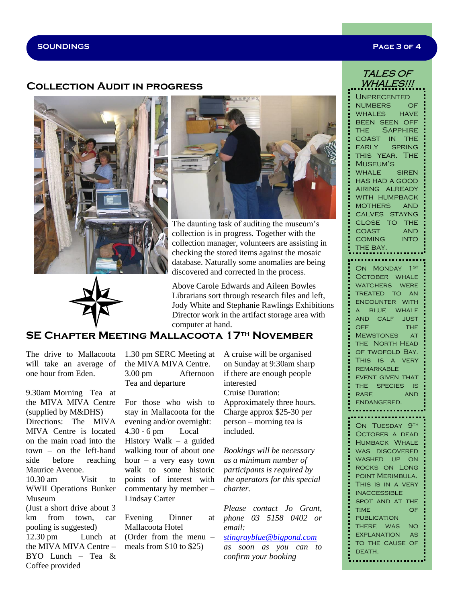#### **SOUNDINGS Page 3 of 4**

#### **Collection Audit in progress**





The daunting task of auditing the museum's collection is in progress. Together with the collection manager, volunteers are assisting in checking the stored items against the mosaic database. Naturally some anomalies are being discovered and corrected in the process.

Above Carole Edwards and Aileen Bowles Librarians sort through research files and left, Jody White and Stephanie Rawlings Exhibitions Director work in the artifact storage area with computer at hand.

#### **SE Chapter Meeting Mallacoota 17th November**

The drive to Mallacoota will take an average of one hour from Eden.

9.30am Morning Tea at the MIVA MIVA Centre (supplied by M&DHS) Directions: The MIVA MIVA Centre is located on the main road into the town – on the left-hand side before reaching Maurice Avenue. 10.30 am Visit to WWII Operations Bunker Museum (Just a short drive about 3 km from town, car pooling is suggested) 12.30 pm Lunch at the MIVA MIVA Centre – BYO Lunch – Tea  $\&$ Coffee provided

1.30 pm SERC Meeting at the MIVA MIVA Centre. 3.00 pm Afternoon Tea and departure

For those who wish to stay in Mallacoota for the evening and/or overnight: 4.30 - 6 pm Local History Walk – a guided walking tour of about one hour – a very easy town walk to some historic points of interest with commentary by member – Lindsay Carter

Evening Dinner at Mallacoota Hotel (Order from the menu – meals from \$10 to \$25)

A cruise will be organised on Sunday at 9:30am sharp if there are enough people interested Cruise Duration: Approximately three hours. Charge approx \$25-30 per person – morning tea is included.

*Bookings will be necessary as a minimum number of participants is required by the operators for this special charter.* 

*Please contact Jo Grant, phone 03 5158 0402 or email:* 

#### *[stingrayblue@bigpond.com](mailto:stingrayblue@bigpond.com)*

*as soon as you can to confirm your booking*

#### TALES OF WHALES!!!

**UNPRECENTED** numbers of WHALES HAVE been seen off THE SAPPHIRE coast in the EARLY SPRING this year. The Museum's WHALE SIREN has had a good AIRING ALREADY WITH HUMPBACK mothers and calves stayng close to the coast and coming into THE BAY.

ON MONDAY 1ST OCTOBER WHALE WATCHERS WERE TREATED TO AN encounter with a blue whale and calf just OFF THE MEWSTONES AT THE NORTH HEAD of twofold Bay. This is a very **REMARKABLE** event given that the species is RARE AND endangered.

ON TUESDAY 9TH October a dead Humback Whale WAS DISCOVERED washed up on rocks on Long point Merimbula. This is in a very INACCESSIBLE spot and at the time of **PUBLICATION** there was no explanation as to the cause of

DEATH.